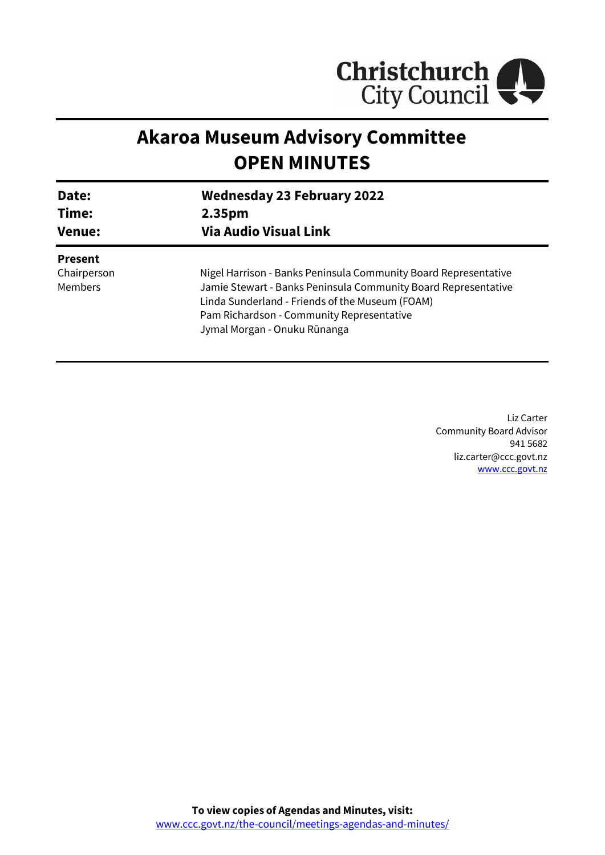

# **Akaroa Museum Advisory Committee OPEN MINUTES**

| Date:<br>Time:<br><b>Venue:</b> | <b>Wednesday 23 February 2022</b><br>2.35 <sub>pm</sub><br><b>Via Audio Visual Link</b> |
|---------------------------------|-----------------------------------------------------------------------------------------|
| <b>Present</b>                  |                                                                                         |
| Chairperson                     | Nigel Harrison - Banks Peninsula Community Board Representative                         |
| <b>Members</b>                  | Jamie Stewart - Banks Peninsula Community Board Representative                          |
|                                 | Linda Sunderland - Friends of the Museum (FOAM)                                         |
|                                 | Pam Richardson - Community Representative                                               |
|                                 | Jymal Morgan - Onuku Rūnanga                                                            |

Liz Carter Community Board Advisor 941 5682 liz.carter@ccc.govt.nz [www.ccc.govt.nz](http://www.ccc.govt.nz/)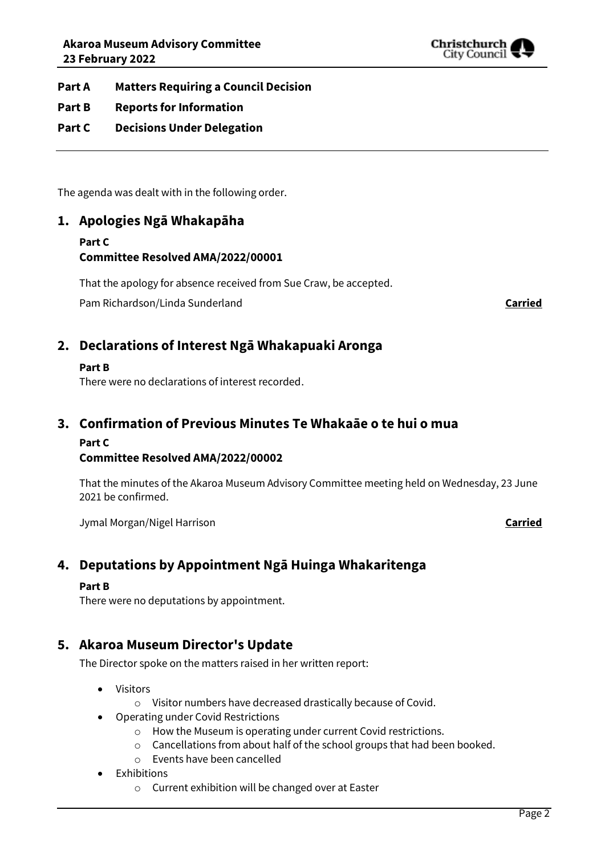

**Part A Matters Requiring a Council Decision**

- **Part B Reports for Information**
- **Part C Decisions Under Delegation**

The agenda was dealt with in the following order.

# **1. Apologies Ngā Whakapāha**

# **Part C Committee Resolved AMA/2022/00001**

That the apology for absence received from Sue Craw, be accepted.

Pam Richardson/Linda Sunderland **Carried**

# **2. Declarations of Interest Ngā Whakapuaki Aronga**

#### **Part B**

There were no declarations of interest recorded.

# **3. Confirmation of Previous Minutes Te Whakaāe o te hui o mua**

### **Part C**

### **Committee Resolved AMA/2022/00002**

That the minutes of the Akaroa Museum Advisory Committee meeting held on Wednesday, 23 June 2021 be confirmed.

Jymal Morgan/Nigel Harrison **Carried**

# **4. Deputations by Appointment Ngā Huinga Whakaritenga**

#### **Part B**

There were no deputations by appointment.

## **5. Akaroa Museum Director's Update**

The Director spoke on the matters raised in her written report:

- Visitors
	- o Visitor numbers have decreased drastically because of Covid.
- Operating under Covid Restrictions
	- o How the Museum is operating under current Covid restrictions.
	- o Cancellations from about half of the school groups that had been booked.
	- o Events have been cancelled
- Exhibitions
	- o Current exhibition will be changed over at Easter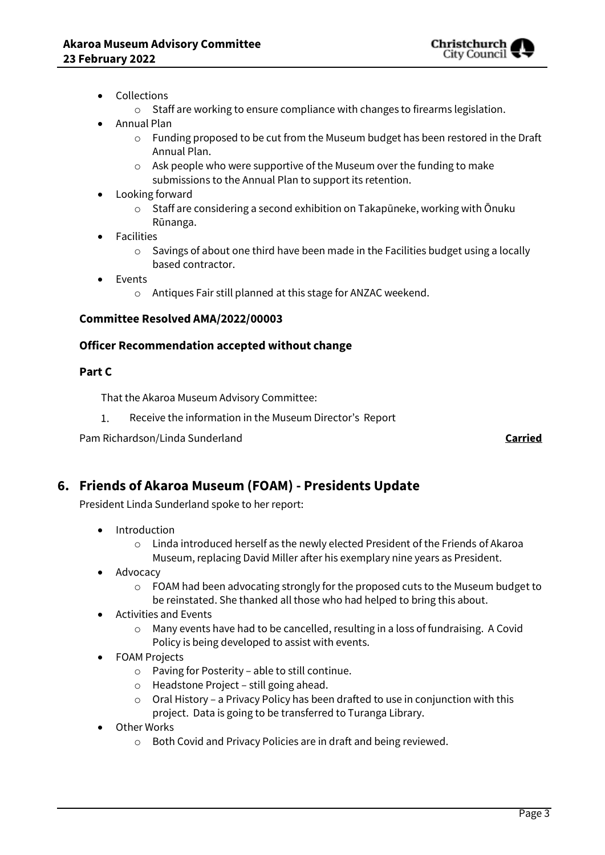

- Collections
	- o Staff are working to ensure compliance with changes to firearms legislation.
- Annual Plan
	- o Funding proposed to be cut from the Museum budget has been restored in the Draft Annual Plan.
	- o Ask people who were supportive of the Museum over the funding to make submissions to the Annual Plan to support its retention.
- Looking forward
	- $\circ$  Staff are considering a second exhibition on Takapūneke, working with Ōnuku Rūnanga.
- Facilities
	- o Savings of about one third have been made in the Facilities budget using a locally based contractor.
- Events
	- o Antiques Fair still planned at this stage for ANZAC weekend.

#### **Committee Resolved AMA/2022/00003**

#### **Officer Recommendation accepted without change**

#### **Part C**

That the Akaroa Museum Advisory Committee:

 $1.$ Receive the information in the Museum Director's Report

Pam Richardson/Linda Sunderland **Carried**

# **6. Friends of Akaroa Museum (FOAM) - Presidents Update**

President Linda Sunderland spoke to her report:

- Introduction
	- $\circ$  Linda introduced herself as the newly elected President of the Friends of Akaroa Museum, replacing David Miller after his exemplary nine years as President.
- Advocacy
	- o FOAM had been advocating strongly for the proposed cuts to the Museum budget to be reinstated. She thanked all those who had helped to bring this about.
- Activities and Events
	- $\circ$  Many events have had to be cancelled, resulting in a loss of fundraising. A Covid Policy is being developed to assist with events.
- FOAM Projects
	- o Paving for Posterity able to still continue.
	- o Headstone Project still going ahead.
	- o Oral History a Privacy Policy has been drafted to use in conjunction with this project. Data is going to be transferred to Turanga Library.
- Other Works
	- o Both Covid and Privacy Policies are in draft and being reviewed.